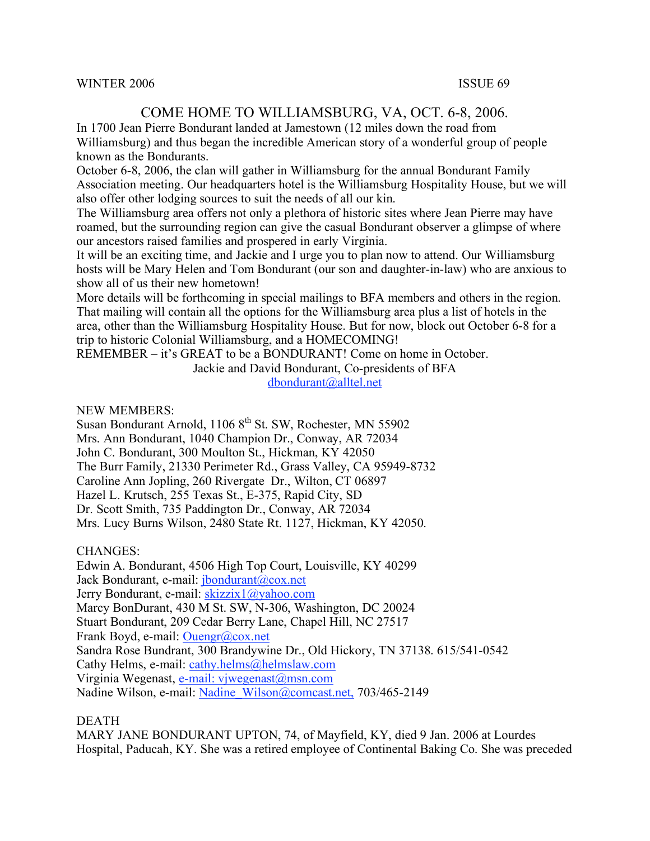#### WINTER 2006 ISSUE 69

# COME HOME TO WILLIAMSBURG, VA, OCT. 6-8, 2006.

In 1700 Jean Pierre Bondurant landed at Jamestown (12 miles down the road from Williamsburg) and thus began the incredible American story of a wonderful group of people known as the Bondurants.

October 6-8, 2006, the clan will gather in Williamsburg for the annual Bondurant Family Association meeting. Our headquarters hotel is the Williamsburg Hospitality House, but we will also offer other lodging sources to suit the needs of all our kin.

The Williamsburg area offers not only a plethora of historic sites where Jean Pierre may have roamed, but the surrounding region can give the casual Bondurant observer a glimpse of where our ancestors raised families and prospered in early Virginia.

It will be an exciting time, and Jackie and I urge you to plan now to attend. Our Williamsburg hosts will be Mary Helen and Tom Bondurant (our son and daughter-in-law) who are anxious to show all of us their new hometown!

More details will be forthcoming in special mailings to BFA members and others in the region. That mailing will contain all the options for the Williamsburg area plus a list of hotels in the area, other than the Williamsburg Hospitality House. But for now, block out October 6-8 for a trip to historic Colonial Williamsburg, and a HOMECOMING!

REMEMBER – it's GREAT to be a BONDURANT! Come on home in October.

Jackie and David Bondurant, Co-presidents of BFA dbondurant@alltel.net

NEW MEMBERS:

Susan Bondurant Arnold, 1106 8<sup>th</sup> St. SW, Rochester, MN 55902 Mrs. Ann Bondurant, 1040 Champion Dr., Conway, AR 72034 John C. Bondurant, 300 Moulton St., Hickman, KY 42050 The Burr Family, 21330 Perimeter Rd., Grass Valley, CA 95949-8732 Caroline Ann Jopling, 260 Rivergate Dr., Wilton, CT 06897 Hazel L. Krutsch, 255 Texas St., E-375, Rapid City, SD Dr. Scott Smith, 735 Paddington Dr., Conway, AR 72034 Mrs. Lucy Burns Wilson, 2480 State Rt. 1127, Hickman, KY 42050.

CHANGES:

Edwin A. Bondurant, 4506 High Top Court, Louisville, KY 40299 Jack Bondurant, e-mail: jbondurant@cox.net Jerry Bondurant, e-mail: skizzix1@yahoo.com Marcy BonDurant, 430 M St. SW, N-306, Washington, DC 20024 Stuart Bondurant, 209 Cedar Berry Lane, Chapel Hill, NC 27517 Frank Boyd, e-mail: Ouengr@cox.net Sandra Rose Bundrant, 300 Brandywine Dr., Old Hickory, TN 37138. 615/541-0542 Cathy Helms, e-mail: cathy.helms@helmslaw.com Virginia Wegenast, e-mail: vjwegenast@msn.com Nadine Wilson, e-mail: Nadine\_Wilson@comcast.net, 703/465-2149

#### DEATH

MARY JANE BONDURANT UPTON, 74, of Mayfield, KY, died 9 Jan. 2006 at Lourdes Hospital, Paducah, KY. She was a retired employee of Continental Baking Co. She was preceded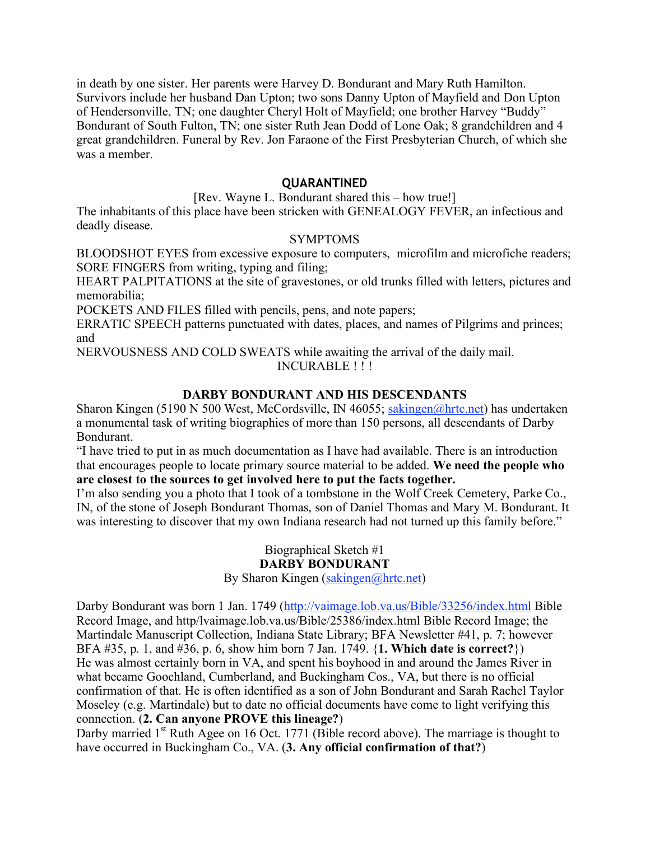in death by one sister. Her parents were Harvey D. Bondurant and Mary Ruth Hamilton. Survivors include her husband Dan Upton; two sons Danny Upton of Mayfield and Don Upton of Hendersonville, TN; one daughter Cheryl Holt of Mayfield; one brother Harvey "Buddy" Bondurant of South Fulton, TN; one sister Ruth Jean Dodd of Lone Oak; 8 grandchildren and 4 great grandchildren. Funeral by Rev. Jon Faraone of the First Presbyterian Church, of which she was a member.

### **QUARANTINED**

[Rev. Wayne L. Bondurant shared this – how true!]

The inhabitants of this place have been stricken with GENEALOGY FEVER, an infectious and deadly disease.

#### SYMPTOMS

BLOODSHOT EYES from excessive exposure to computers, microfilm and microfiche readers; SORE FINGERS from writing, typing and filing;

HEART PALPITATIONS at the site of gravestones, or old trunks filled with letters, pictures and memorabilia;

POCKETS AND FILES filled with pencils, pens, and note papers;

ERRATIC SPEECH patterns punctuated with dates, places, and names of Pilgrims and princes; and

NERVOUSNESS AND COLD SWEATS while awaiting the arrival of the daily mail. INCURABLE ! ! !

## **DARBY BONDURANT AND HIS DESCENDANTS**

Sharon Kingen (5190 N 500 West, McCordsville, IN 46055; sakingen@hrtc.net) has undertaken a monumental task of writing biographies of more than 150 persons, all descendants of Darby Bondurant.

"I have tried to put in as much documentation as I have had available. There is an introduction that encourages people to locate primary source material to be added. **We need the people who are closest to the sources to get involved here to put the facts together.**

I'm also sending you a photo that I took of a tombstone in the Wolf Creek Cemetery, Parke Co., IN, of the stone of Joseph Bondurant Thomas, son of Daniel Thomas and Mary M. Bondurant. It was interesting to discover that my own Indiana research had not turned up this family before."

> Biographical Sketch #1 **DARBY BONDURANT**

By Sharon Kingen (sakingen@hrtc.net)

Darby Bondurant was born 1 Jan. 1749 (http://vaimage.lob.va.us/Bible/33256/index.html Bible Record Image, and http/lvaimage.lob.va.us/Bible/25386/index.html Bible Record Image; the Martindale Manuscript Collection, Indiana State Library; BFA Newsletter #41, p. 7; however BFA #35, p. 1, and #36, p. 6, show him born 7 Jan. 1749. {**1. Which date is correct?**}) He was almost certainly born in VA, and spent his boyhood in and around the James River in what became Goochland, Cumberland, and Buckingham Cos., VA, but there is no official confirmation of that. He is often identified as a son of John Bondurant and Sarah Rachel Taylor Moseley (e.g. Martindale) but to date no official documents have come to light verifying this connection. (**2. Can anyone PROVE this lineage?**)

Darby married 1<sup>st</sup> Ruth Agee on 16 Oct. 1771 (Bible record above). The marriage is thought to have occurred in Buckingham Co., VA. (**3. Any official confirmation of that?**)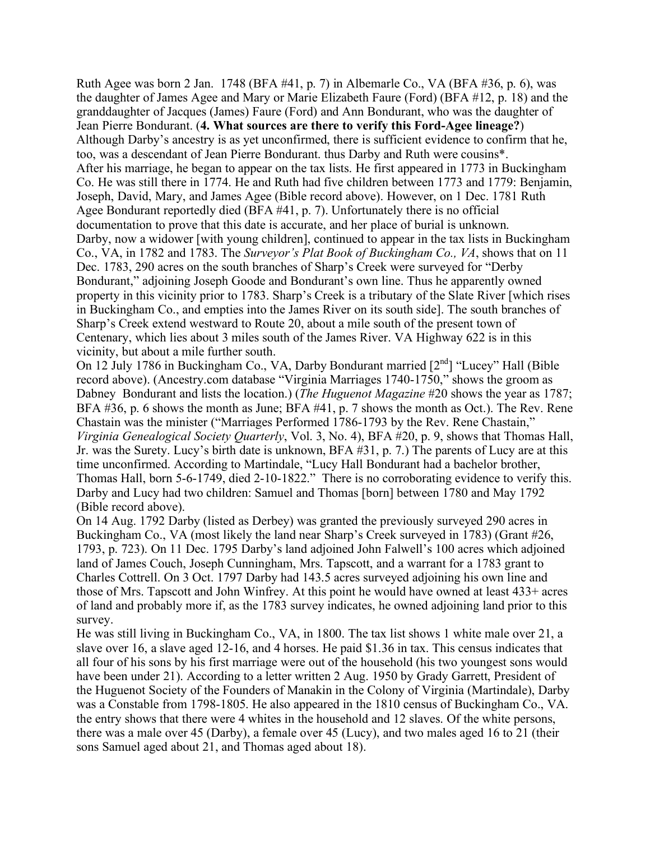Ruth Agee was born 2 Jan. 1748 (BFA #41, p. 7) in Albemarle Co., VA (BFA #36, p. 6), was the daughter of James Agee and Mary or Marie Elizabeth Faure (Ford) (BFA #12, p. 18) and the granddaughter of Jacques (James) Faure (Ford) and Ann Bondurant, who was the daughter of Jean Pierre Bondurant. (**4. What sources are there to verify this Ford-Agee lineage?**) Although Darby's ancestry is as yet unconfirmed, there is sufficient evidence to confirm that he, too, was a descendant of Jean Pierre Bondurant. thus Darby and Ruth were cousins\*. After his marriage, he began to appear on the tax lists. He first appeared in 1773 in Buckingham Co. He was still there in 1774. He and Ruth had five children between 1773 and 1779: Benjamin, Joseph, David, Mary, and James Agee (Bible record above). However, on 1 Dec. 1781 Ruth Agee Bondurant reportedly died (BFA #41, p. 7). Unfortunately there is no official documentation to prove that this date is accurate, and her place of burial is unknown. Darby, now a widower [with young children], continued to appear in the tax lists in Buckingham Co., VA, in 1782 and 1783. The *Surveyor's Plat Book of Buckingham Co., VA*, shows that on 11 Dec. 1783, 290 acres on the south branches of Sharp's Creek were surveyed for "Derby Bondurant," adjoining Joseph Goode and Bondurant's own line. Thus he apparently owned property in this vicinity prior to 1783. Sharp's Creek is a tributary of the Slate River [which rises in Buckingham Co., and empties into the James River on its south side]. The south branches of Sharp's Creek extend westward to Route 20, about a mile south of the present town of Centenary, which lies about 3 miles south of the James River. VA Highway 622 is in this vicinity, but about a mile further south.

On 12 July 1786 in Buckingham Co., VA, Darby Bondurant married [2<sup>nd</sup>] "Lucey" Hall (Bible record above). (Ancestry.com database "Virginia Marriages 1740-1750," shows the groom as Dabney Bondurant and lists the location.) (*The Huguenot Magazine* #20 shows the year as 1787; BFA #36, p. 6 shows the month as June; BFA #41, p. 7 shows the month as Oct.). The Rev. Rene Chastain was the minister ("Marriages Performed 1786-1793 by the Rev. Rene Chastain," *Virginia Genealogical Society Quarterly*, Vol. 3, No. 4), BFA #20, p. 9, shows that Thomas Hall, Jr. was the Surety. Lucy's birth date is unknown, BFA #31, p. 7.) The parents of Lucy are at this time unconfirmed. According to Martindale, "Lucy Hall Bondurant had a bachelor brother, Thomas Hall, born 5-6-1749, died 2-10-1822." There is no corroborating evidence to verify this. Darby and Lucy had two children: Samuel and Thomas [born] between 1780 and May 1792 (Bible record above).

On 14 Aug. 1792 Darby (listed as Derbey) was granted the previously surveyed 290 acres in Buckingham Co., VA (most likely the land near Sharp's Creek surveyed in 1783) (Grant #26, 1793, p. 723). On 11 Dec. 1795 Darby's land adjoined John Falwell's 100 acres which adjoined land of James Couch, Joseph Cunningham, Mrs. Tapscott, and a warrant for a 1783 grant to Charles Cottrell. On 3 Oct. 1797 Darby had 143.5 acres surveyed adjoining his own line and those of Mrs. Tapscott and John Winfrey. At this point he would have owned at least 433+ acres of land and probably more if, as the 1783 survey indicates, he owned adjoining land prior to this survey.

He was still living in Buckingham Co., VA, in 1800. The tax list shows 1 white male over 21, a slave over 16, a slave aged 12-16, and 4 horses. He paid \$1.36 in tax. This census indicates that all four of his sons by his first marriage were out of the household (his two youngest sons would have been under 21). According to a letter written 2 Aug. 1950 by Grady Garrett, President of the Huguenot Society of the Founders of Manakin in the Colony of Virginia (Martindale), Darby was a Constable from 1798-1805. He also appeared in the 1810 census of Buckingham Co., VA. the entry shows that there were 4 whites in the household and 12 slaves. Of the white persons, there was a male over 45 (Darby), a female over 45 (Lucy), and two males aged 16 to 21 (their sons Samuel aged about 21, and Thomas aged about 18).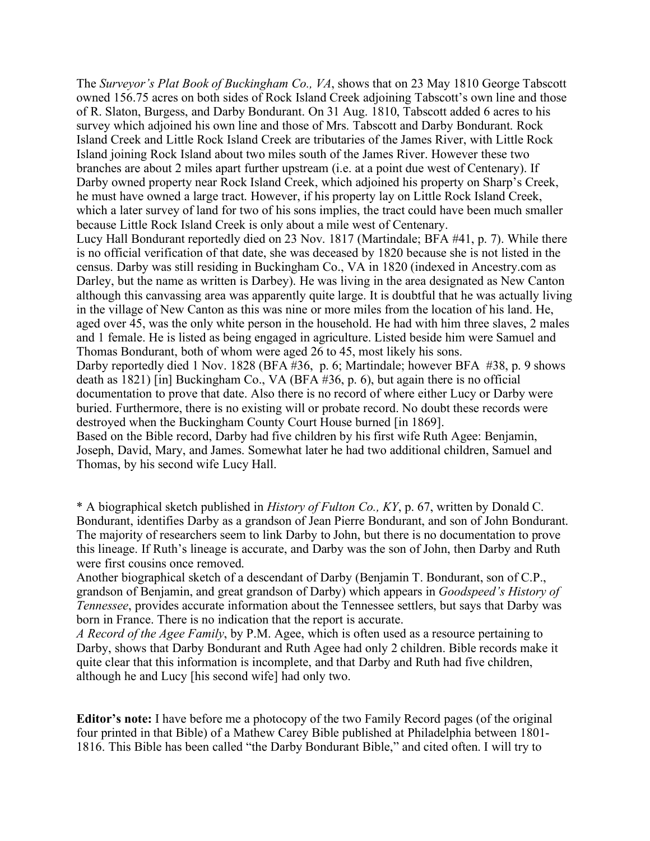The *Surveyor's Plat Book of Buckingham Co., VA*, shows that on 23 May 1810 George Tabscott owned 156.75 acres on both sides of Rock Island Creek adjoining Tabscott's own line and those of R. Slaton, Burgess, and Darby Bondurant. On 31 Aug. 1810, Tabscott added 6 acres to his survey which adjoined his own line and those of Mrs. Tabscott and Darby Bondurant. Rock Island Creek and Little Rock Island Creek are tributaries of the James River, with Little Rock Island joining Rock Island about two miles south of the James River. However these two branches are about 2 miles apart further upstream (i.e. at a point due west of Centenary). If Darby owned property near Rock Island Creek, which adjoined his property on Sharp's Creek, he must have owned a large tract. However, if his property lay on Little Rock Island Creek, which a later survey of land for two of his sons implies, the tract could have been much smaller because Little Rock Island Creek is only about a mile west of Centenary. Lucy Hall Bondurant reportedly died on 23 Nov. 1817 (Martindale; BFA #41, p. 7). While there is no official verification of that date, she was deceased by 1820 because she is not listed in the census. Darby was still residing in Buckingham Co., VA in 1820 (indexed in Ancestry.com as Darley, but the name as written is Darbey). He was living in the area designated as New Canton although this canvassing area was apparently quite large. It is doubtful that he was actually living in the village of New Canton as this was nine or more miles from the location of his land. He, aged over 45, was the only white person in the household. He had with him three slaves, 2 males and 1 female. He is listed as being engaged in agriculture. Listed beside him were Samuel and Thomas Bondurant, both of whom were aged 26 to 45, most likely his sons. Darby reportedly died 1 Nov. 1828 (BFA #36, p. 6; Martindale; however BFA #38, p. 9 shows death as 1821) [in] Buckingham Co., VA (BFA #36, p. 6), but again there is no official documentation to prove that date. Also there is no record of where either Lucy or Darby were buried. Furthermore, there is no existing will or probate record. No doubt these records were destroyed when the Buckingham County Court House burned [in 1869]. Based on the Bible record, Darby had five children by his first wife Ruth Agee: Benjamin, Joseph, David, Mary, and James. Somewhat later he had two additional children, Samuel and

Thomas, by his second wife Lucy Hall.

\* A biographical sketch published in *History of Fulton Co., KY*, p. 67, written by Donald C. Bondurant, identifies Darby as a grandson of Jean Pierre Bondurant, and son of John Bondurant. The majority of researchers seem to link Darby to John, but there is no documentation to prove this lineage. If Ruth's lineage is accurate, and Darby was the son of John, then Darby and Ruth were first cousins once removed.

Another biographical sketch of a descendant of Darby (Benjamin T. Bondurant, son of C.P., grandson of Benjamin, and great grandson of Darby) which appears in *Goodspeed's History of Tennessee*, provides accurate information about the Tennessee settlers, but says that Darby was born in France. There is no indication that the report is accurate.

*A Record of the Agee Family*, by P.M. Agee, which is often used as a resource pertaining to Darby, shows that Darby Bondurant and Ruth Agee had only 2 children. Bible records make it quite clear that this information is incomplete, and that Darby and Ruth had five children, although he and Lucy [his second wife] had only two.

**Editor's note:** I have before me a photocopy of the two Family Record pages (of the original four printed in that Bible) of a Mathew Carey Bible published at Philadelphia between 1801- 1816. This Bible has been called "the Darby Bondurant Bible," and cited often. I will try to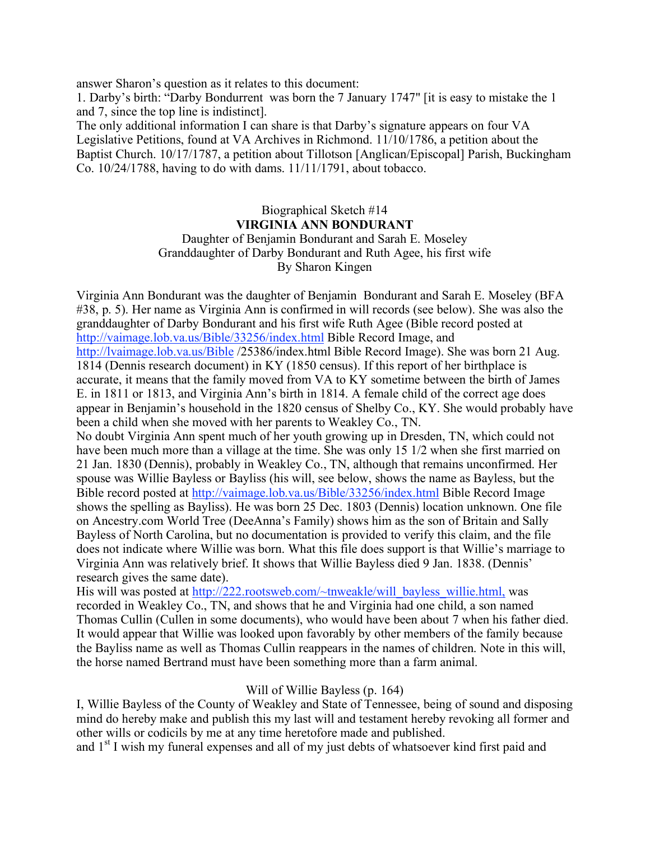answer Sharon's question as it relates to this document:

1. Darby's birth: "Darby Bondurrent was born the 7 January 1747" [it is easy to mistake the 1 and 7, since the top line is indistinct].

The only additional information I can share is that Darby's signature appears on four VA Legislative Petitions, found at VA Archives in Richmond. 11/10/1786, a petition about the Baptist Church. 10/17/1787, a petition about Tillotson [Anglican/Episcopal] Parish, Buckingham Co. 10/24/1788, having to do with dams. 11/11/1791, about tobacco.

### Biographical Sketch #14 **VIRGINIA ANN BONDURANT** Daughter of Benjamin Bondurant and Sarah E. Moseley Granddaughter of Darby Bondurant and Ruth Agee, his first wife By Sharon Kingen

Virginia Ann Bondurant was the daughter of Benjamin Bondurant and Sarah E. Moseley (BFA #38, p. 5). Her name as Virginia Ann is confirmed in will records (see below). She was also the granddaughter of Darby Bondurant and his first wife Ruth Agee (Bible record posted at http://vaimage.lob.va.us/Bible/33256/index.html Bible Record Image, and http://lvaimage.lob.va.us/Bible /25386/index.html Bible Record Image). She was born 21 Aug. 1814 (Dennis research document) in KY (1850 census). If this report of her birthplace is accurate, it means that the family moved from VA to KY sometime between the birth of James E. in 1811 or 1813, and Virginia Ann's birth in 1814. A female child of the correct age does appear in Benjamin's household in the 1820 census of Shelby Co., KY. She would probably have been a child when she moved with her parents to Weakley Co., TN.

No doubt Virginia Ann spent much of her youth growing up in Dresden, TN, which could not have been much more than a village at the time. She was only 15 1/2 when she first married on 21 Jan. 1830 (Dennis), probably in Weakley Co., TN, although that remains unconfirmed. Her spouse was Willie Bayless or Bayliss (his will, see below, shows the name as Bayless, but the Bible record posted at http://vaimage.lob.va.us/Bible/33256/index.html Bible Record Image shows the spelling as Bayliss). He was born 25 Dec. 1803 (Dennis) location unknown. One file on Ancestry.com World Tree (DeeAnna's Family) shows him as the son of Britain and Sally Bayless of North Carolina, but no documentation is provided to verify this claim, and the file does not indicate where Willie was born. What this file does support is that Willie's marriage to Virginia Ann was relatively brief. It shows that Willie Bayless died 9 Jan. 1838. (Dennis' research gives the same date).

His will was posted at http://222.rootsweb.com/~tnweakle/will\_bayless\_willie.html, was recorded in Weakley Co., TN, and shows that he and Virginia had one child, a son named Thomas Cullin (Cullen in some documents), who would have been about 7 when his father died. It would appear that Willie was looked upon favorably by other members of the family because the Bayliss name as well as Thomas Cullin reappears in the names of children. Note in this will, the horse named Bertrand must have been something more than a farm animal.

#### Will of Willie Bayless (p. 164)

I, Willie Bayless of the County of Weakley and State of Tennessee, being of sound and disposing mind do hereby make and publish this my last will and testament hereby revoking all former and other wills or codicils by me at any time heretofore made and published.

and 1<sup>st</sup> I wish my funeral expenses and all of my just debts of whatsoever kind first paid and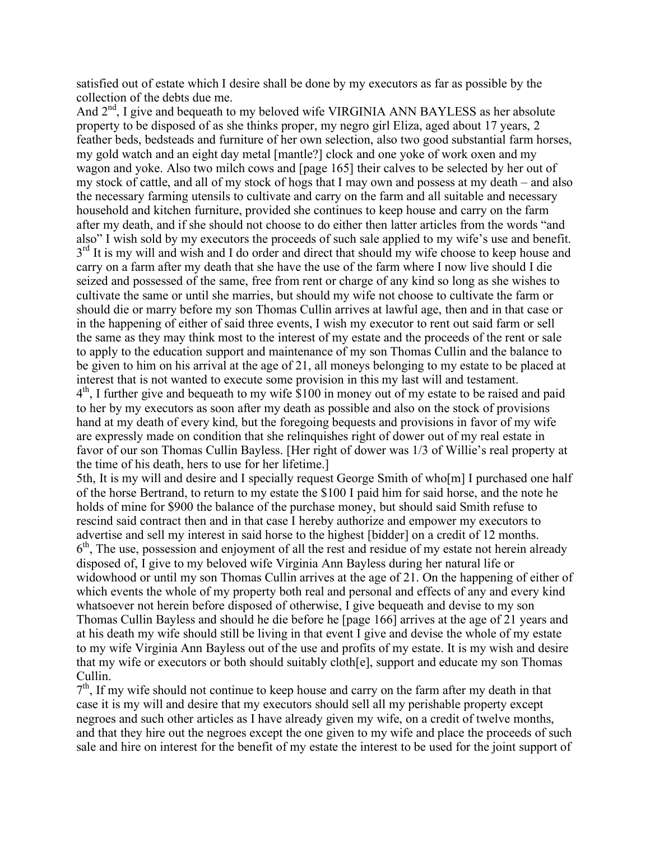satisfied out of estate which I desire shall be done by my executors as far as possible by the collection of the debts due me.

And  $2<sup>nd</sup>$ , I give and bequeath to my beloved wife VIRGINIA ANN BAYLESS as her absolute property to be disposed of as she thinks proper, my negro girl Eliza, aged about 17 years, 2 feather beds, bedsteads and furniture of her own selection, also two good substantial farm horses, my gold watch and an eight day metal [mantle?] clock and one yoke of work oxen and my wagon and yoke. Also two milch cows and [page 165] their calves to be selected by her out of my stock of cattle, and all of my stock of hogs that I may own and possess at my death – and also the necessary farming utensils to cultivate and carry on the farm and all suitable and necessary household and kitchen furniture, provided she continues to keep house and carry on the farm after my death, and if she should not choose to do either then latter articles from the words "and also" I wish sold by my executors the proceeds of such sale applied to my wife's use and benefit.  $3<sup>rd</sup>$  It is my will and wish and I do order and direct that should my wife choose to keep house and carry on a farm after my death that she have the use of the farm where I now live should I die seized and possessed of the same, free from rent or charge of any kind so long as she wishes to cultivate the same or until she marries, but should my wife not choose to cultivate the farm or should die or marry before my son Thomas Cullin arrives at lawful age, then and in that case or in the happening of either of said three events, I wish my executor to rent out said farm or sell the same as they may think most to the interest of my estate and the proceeds of the rent or sale to apply to the education support and maintenance of my son Thomas Cullin and the balance to be given to him on his arrival at the age of 21, all moneys belonging to my estate to be placed at interest that is not wanted to execute some provision in this my last will and testament.  $4<sup>th</sup>$ , I further give and bequeath to my wife \$100 in money out of my estate to be raised and paid to her by my executors as soon after my death as possible and also on the stock of provisions hand at my death of every kind, but the foregoing bequests and provisions in favor of my wife are expressly made on condition that she relinquishes right of dower out of my real estate in favor of our son Thomas Cullin Bayless. [Her right of dower was 1/3 of Willie's real property at the time of his death, hers to use for her lifetime.]

5th, It is my will and desire and I specially request George Smith of who[m] I purchased one half of the horse Bertrand, to return to my estate the \$100 I paid him for said horse, and the note he holds of mine for \$900 the balance of the purchase money, but should said Smith refuse to rescind said contract then and in that case I hereby authorize and empower my executors to advertise and sell my interest in said horse to the highest [bidder] on a credit of 12 months. 6<sup>th</sup>, The use, possession and enjoyment of all the rest and residue of my estate not herein already disposed of, I give to my beloved wife Virginia Ann Bayless during her natural life or widowhood or until my son Thomas Cullin arrives at the age of 21. On the happening of either of which events the whole of my property both real and personal and effects of any and every kind whatsoever not herein before disposed of otherwise, I give bequeath and devise to my son Thomas Cullin Bayless and should he die before he [page 166] arrives at the age of 21 years and at his death my wife should still be living in that event I give and devise the whole of my estate to my wife Virginia Ann Bayless out of the use and profits of my estate. It is my wish and desire that my wife or executors or both should suitably cloth[e], support and educate my son Thomas Cullin.

 $7<sup>th</sup>$ , If my wife should not continue to keep house and carry on the farm after my death in that case it is my will and desire that my executors should sell all my perishable property except negroes and such other articles as I have already given my wife, on a credit of twelve months, and that they hire out the negroes except the one given to my wife and place the proceeds of such sale and hire on interest for the benefit of my estate the interest to be used for the joint support of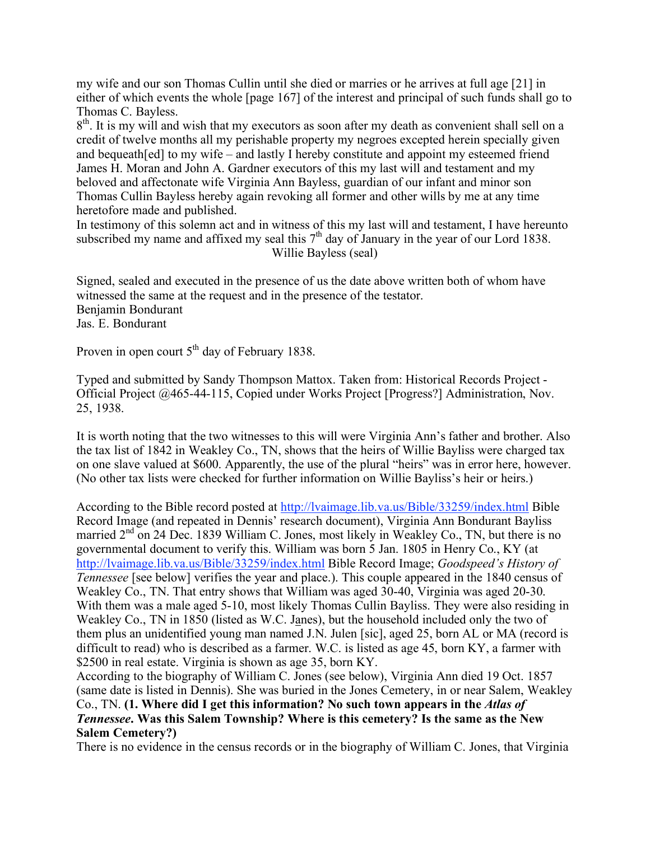my wife and our son Thomas Cullin until she died or marries or he arrives at full age [21] in either of which events the whole [page 167] of the interest and principal of such funds shall go to Thomas C. Bayless.

 $8<sup>th</sup>$ . It is my will and wish that my executors as soon after my death as convenient shall sell on a credit of twelve months all my perishable property my negroes excepted herein specially given and bequeath[ed] to my wife – and lastly I hereby constitute and appoint my esteemed friend James H. Moran and John A. Gardner executors of this my last will and testament and my beloved and affectonate wife Virginia Ann Bayless, guardian of our infant and minor son Thomas Cullin Bayless hereby again revoking all former and other wills by me at any time heretofore made and published.

In testimony of this solemn act and in witness of this my last will and testament, I have hereunto subscribed my name and affixed my seal this  $7<sup>th</sup>$  day of January in the year of our Lord 1838. Willie Bayless (seal)

Signed, sealed and executed in the presence of us the date above written both of whom have witnessed the same at the request and in the presence of the testator. Benjamin Bondurant Jas. E. Bondurant

Proven in open court 5<sup>th</sup> day of February 1838.

Typed and submitted by Sandy Thompson Mattox. Taken from: Historical Records Project - Official Project @465-44-115, Copied under Works Project [Progress?] Administration, Nov. 25, 1938.

It is worth noting that the two witnesses to this will were Virginia Ann's father and brother. Also the tax list of 1842 in Weakley Co., TN, shows that the heirs of Willie Bayliss were charged tax on one slave valued at \$600. Apparently, the use of the plural "heirs" was in error here, however. (No other tax lists were checked for further information on Willie Bayliss's heir or heirs.)

According to the Bible record posted at http://lvaimage.lib.va.us/Bible/33259/index.html Bible Record Image (and repeated in Dennis' research document), Virginia Ann Bondurant Bayliss married  $2<sup>nd</sup>$  on 24 Dec. 1839 William C. Jones, most likely in Weakley Co., TN, but there is no governmental document to verify this. William was born 5 Jan. 1805 in Henry Co., KY (at http://lvaimage.lib.va.us/Bible/33259/index.html Bible Record Image; *Goodspeed's History of Tennessee* [see below] verifies the year and place.). This couple appeared in the 1840 census of Weakley Co., TN. That entry shows that William was aged 30-40, Virginia was aged 20-30. With them was a male aged 5-10, most likely Thomas Cullin Bayliss. They were also residing in Weakley Co., TN in 1850 (listed as W.C. Janes), but the household included only the two of them plus an unidentified young man named J.N. Julen [sic], aged 25, born AL or MA (record is difficult to read) who is described as a farmer. W.C. is listed as age 45, born KY, a farmer with \$2500 in real estate. Virginia is shown as age 35, born KY.

According to the biography of William C. Jones (see below), Virginia Ann died 19 Oct. 1857 (same date is listed in Dennis). She was buried in the Jones Cemetery, in or near Salem, Weakley Co., TN. **(1. Where did I get this information? No such town appears in the** *Atlas of Tennessee***. Was this Salem Township? Where is this cemetery? Is the same as the New Salem Cemetery?)**

There is no evidence in the census records or in the biography of William C. Jones, that Virginia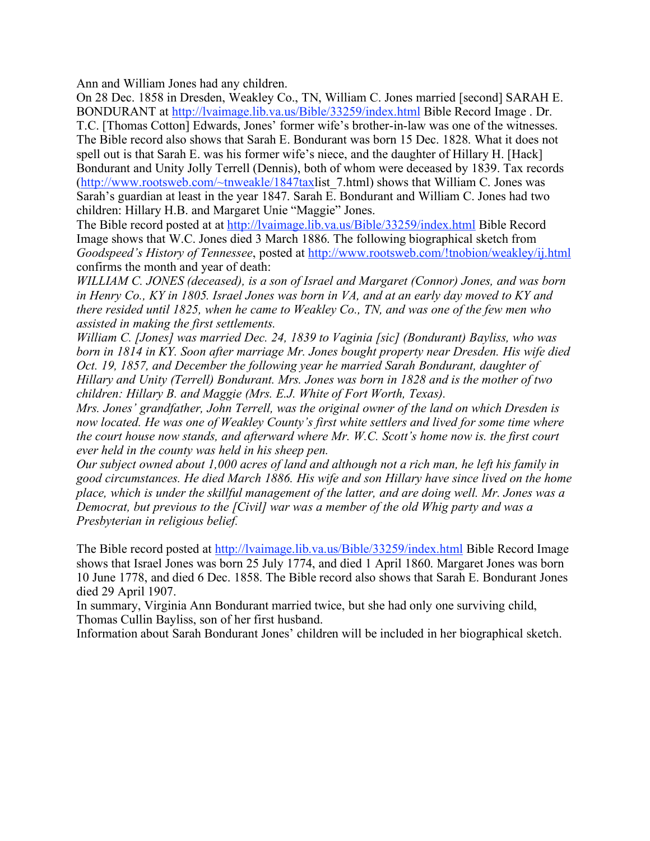Ann and William Jones had any children.

On 28 Dec. 1858 in Dresden, Weakley Co., TN, William C. Jones married [second] SARAH E. BONDURANT at http://lvaimage.lib.va.us/Bible/33259/index.html Bible Record Image . Dr. T.C. [Thomas Cotton] Edwards, Jones' former wife's brother-in-law was one of the witnesses. The Bible record also shows that Sarah E. Bondurant was born 15 Dec. 1828. What it does not spell out is that Sarah E. was his former wife's niece, and the daughter of Hillary H. [Hack] Bondurant and Unity Jolly Terrell (Dennis), both of whom were deceased by 1839. Tax records (http://www.rootsweb.com/~tnweakle/1847taxlist\_7.html) shows that William C. Jones was Sarah's guardian at least in the year 1847. Sarah E. Bondurant and William C. Jones had two children: Hillary H.B. and Margaret Unie "Maggie" Jones.

The Bible record posted at at http://lvaimage.lib.va.us/Bible/33259/index.html Bible Record Image shows that W.C. Jones died 3 March 1886. The following biographical sketch from *Goodspeed's History of Tennessee*, posted at http://www.rootsweb.com/!tnobion/weakley/ij.html confirms the month and year of death:

*WILLIAM C. JONES (deceased), is a son of Israel and Margaret (Connor) Jones, and was born in Henry Co., KY in 1805. Israel Jones was born in VA, and at an early day moved to KY and there resided until 1825, when he came to Weakley Co., TN, and was one of the few men who assisted in making the first settlements.*

*William C. [Jones] was married Dec. 24, 1839 to Vaginia [sic] (Bondurant) Bayliss, who was born in 1814 in KY. Soon after marriage Mr. Jones bought property near Dresden. His wife died Oct. 19, 1857, and December the following year he married Sarah Bondurant, daughter of Hillary and Unity (Terrell) Bondurant. Mrs. Jones was born in 1828 and is the mother of two children: Hillary B. and Maggie (Mrs. E.J. White of Fort Worth, Texas).*

*Mrs. Jones' grandfather, John Terrell, was the original owner of the land on which Dresden is now located. He was one of Weakley County's first white settlers and lived for some time where the court house now stands, and afterward where Mr. W.C. Scott's home now is. the first court ever held in the county was held in his sheep pen.*

*Our subject owned about 1,000 acres of land and although not a rich man, he left his family in good circumstances. He died March 1886. His wife and son Hillary have since lived on the home place, which is under the skillful management of the latter, and are doing well. Mr. Jones was a Democrat, but previous to the [Civil] war was a member of the old Whig party and was a Presbyterian in religious belief.*

The Bible record posted at http://lvaimage.lib.va.us/Bible/33259/index.html Bible Record Image shows that Israel Jones was born 25 July 1774, and died 1 April 1860. Margaret Jones was born 10 June 1778, and died 6 Dec. 1858. The Bible record also shows that Sarah E. Bondurant Jones died 29 April 1907.

In summary, Virginia Ann Bondurant married twice, but she had only one surviving child, Thomas Cullin Bayliss, son of her first husband.

Information about Sarah Bondurant Jones' children will be included in her biographical sketch.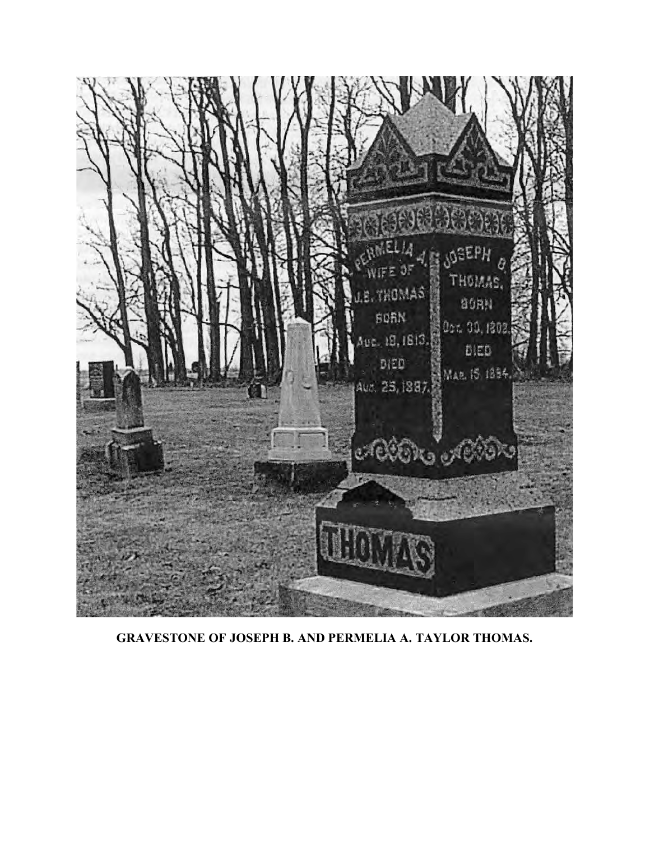

**GRAVESTONE OF JOSEPH B. AND PERMELIA A. TAYLOR THOMAS.**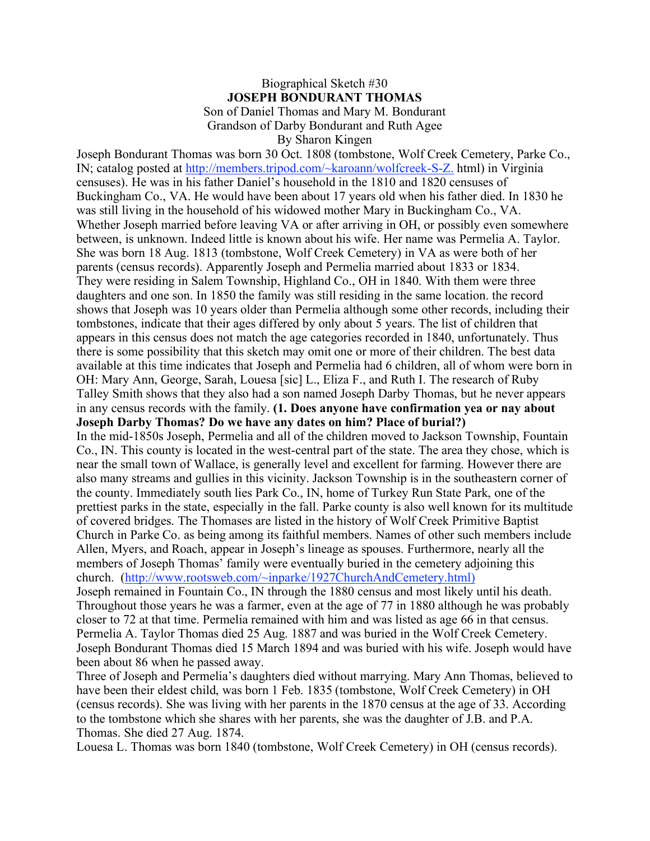#### Biographical Sketch #30 **JOSEPH BONDURANT THOMAS** Son of Daniel Thomas and Mary M. Bondurant Grandson of Darby Bondurant and Ruth Agee By Sharon Kingen

Joseph Bondurant Thomas was born 30 Oct. 1808 (tombstone, Wolf Creek Cemetery, Parke Co., IN; catalog posted at http://members.tripod.com/~karoann/wolfcreek-S-Z. html) in Virginia censuses). He was in his father Daniel's household in the 1810 and 1820 censuses of Buckingham Co., VA. He would have been about 17 years old when his father died. In 1830 he was still living in the household of his widowed mother Mary in Buckingham Co., VA. Whether Joseph married before leaving VA or after arriving in OH, or possibly even somewhere between, is unknown. Indeed little is known about his wife. Her name was Permelia A. Taylor. She was born 18 Aug. 1813 (tombstone, Wolf Creek Cemetery) in VA as were both of her parents (census records). Apparently Joseph and Permelia married about 1833 or 1834. They were residing in Salem Township, Highland Co., OH in 1840. With them were three daughters and one son. In 1850 the family was still residing in the same location. the record shows that Joseph was 10 years older than Permelia although some other records, including their tombstones, indicate that their ages differed by only about 5 years. The list of children that appears in this census does not match the age categories recorded in 1840, unfortunately. Thus there is some possibility that this sketch may omit one or more of their children. The best data available at this time indicates that Joseph and Permelia had 6 children, all of whom were born in OH: Mary Ann, George, Sarah, Louesa [sic] L., Eliza F., and Ruth I. The research of Ruby Talley Smith shows that they also had a son named Joseph Darby Thomas, but he never appears in any census records with the family. **(1. Does anyone have confirmation yea or nay about Joseph Darby Thomas? Do we have any dates on him? Place of burial?)** In the mid-1850s Joseph, Permelia and all of the children moved to Jackson Township, Fountain

Co., IN. This county is located in the west-central part of the state. The area they chose, which is near the small town of Wallace, is generally level and excellent for farming. However there are also many streams and gullies in this vicinity. Jackson Township is in the southeastern corner of the county. Immediately south lies Park Co., IN, home of Turkey Run State Park, one of the prettiest parks in the state, especially in the fall. Parke county is also well known for its multitude of covered bridges. The Thomases are listed in the history of Wolf Creek Primitive Baptist Church in Parke Co. as being among its faithful members. Names of other such members include Allen, Myers, and Roach, appear in Joseph's lineage as spouses. Furthermore, nearly all the members of Joseph Thomas' family were eventually buried in the cemetery adjoining this church. (http://www.rootsweb.com/~inparke/1927ChurchAndCemetery.html)

Joseph remained in Fountain Co., IN through the 1880 census and most likely until his death. Throughout those years he was a farmer, even at the age of 77 in 1880 although he was probably closer to 72 at that time. Permelia remained with him and was listed as age 66 in that census. Permelia A. Taylor Thomas died 25 Aug. 1887 and was buried in the Wolf Creek Cemetery. Joseph Bondurant Thomas died 15 March 1894 and was buried with his wife. Joseph would have been about 86 when he passed away.

Three of Joseph and Permelia's daughters died without marrying. Mary Ann Thomas, believed to have been their eldest child, was born 1 Feb. 1835 (tombstone, Wolf Creek Cemetery) in OH (census records). She was living with her parents in the 1870 census at the age of 33. According to the tombstone which she shares with her parents, she was the daughter of J.B. and P.A. Thomas. She died 27 Aug. 1874.

Louesa L. Thomas was born 1840 (tombstone, Wolf Creek Cemetery) in OH (census records).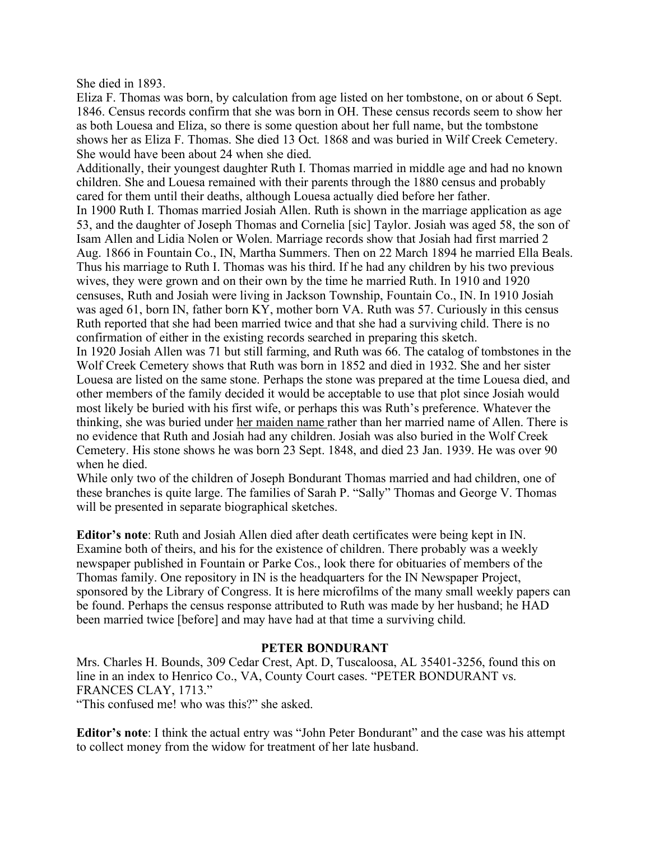She died in 1893.

Eliza F. Thomas was born, by calculation from age listed on her tombstone, on or about 6 Sept. 1846. Census records confirm that she was born in OH. These census records seem to show her as both Louesa and Eliza, so there is some question about her full name, but the tombstone shows her as Eliza F. Thomas. She died 13 Oct. 1868 and was buried in Wilf Creek Cemetery. She would have been about 24 when she died.

Additionally, their youngest daughter Ruth I. Thomas married in middle age and had no known children. She and Louesa remained with their parents through the 1880 census and probably cared for them until their deaths, although Louesa actually died before her father.

In 1900 Ruth I. Thomas married Josiah Allen. Ruth is shown in the marriage application as age 53, and the daughter of Joseph Thomas and Cornelia [sic] Taylor. Josiah was aged 58, the son of Isam Allen and Lidia Nolen or Wolen. Marriage records show that Josiah had first married 2 Aug. 1866 in Fountain Co., IN, Martha Summers. Then on 22 March 1894 he married Ella Beals. Thus his marriage to Ruth I. Thomas was his third. If he had any children by his two previous wives, they were grown and on their own by the time he married Ruth. In 1910 and 1920 censuses, Ruth and Josiah were living in Jackson Township, Fountain Co., IN. In 1910 Josiah was aged 61, born IN, father born KY, mother born VA. Ruth was 57. Curiously in this census Ruth reported that she had been married twice and that she had a surviving child. There is no confirmation of either in the existing records searched in preparing this sketch.

In 1920 Josiah Allen was 71 but still farming, and Ruth was 66. The catalog of tombstones in the Wolf Creek Cemetery shows that Ruth was born in 1852 and died in 1932. She and her sister Louesa are listed on the same stone. Perhaps the stone was prepared at the time Louesa died, and other members of the family decided it would be acceptable to use that plot since Josiah would most likely be buried with his first wife, or perhaps this was Ruth's preference. Whatever the thinking, she was buried under her maiden name rather than her married name of Allen. There is no evidence that Ruth and Josiah had any children. Josiah was also buried in the Wolf Creek Cemetery. His stone shows he was born 23 Sept. 1848, and died 23 Jan. 1939. He was over 90 when he died.

While only two of the children of Joseph Bondurant Thomas married and had children, one of these branches is quite large. The families of Sarah P. "Sally" Thomas and George V. Thomas will be presented in separate biographical sketches.

**Editor's note**: Ruth and Josiah Allen died after death certificates were being kept in IN. Examine both of theirs, and his for the existence of children. There probably was a weekly newspaper published in Fountain or Parke Cos., look there for obituaries of members of the Thomas family. One repository in IN is the headquarters for the IN Newspaper Project, sponsored by the Library of Congress. It is here microfilms of the many small weekly papers can be found. Perhaps the census response attributed to Ruth was made by her husband; he HAD been married twice [before] and may have had at that time a surviving child.

#### **PETER BONDURANT**

Mrs. Charles H. Bounds, 309 Cedar Crest, Apt. D, Tuscaloosa, AL 35401-3256, found this on line in an index to Henrico Co., VA, County Court cases. "PETER BONDURANT vs. FRANCES CLAY, 1713."

"This confused me! who was this?" she asked.

**Editor's note**: I think the actual entry was "John Peter Bondurant" and the case was his attempt to collect money from the widow for treatment of her late husband.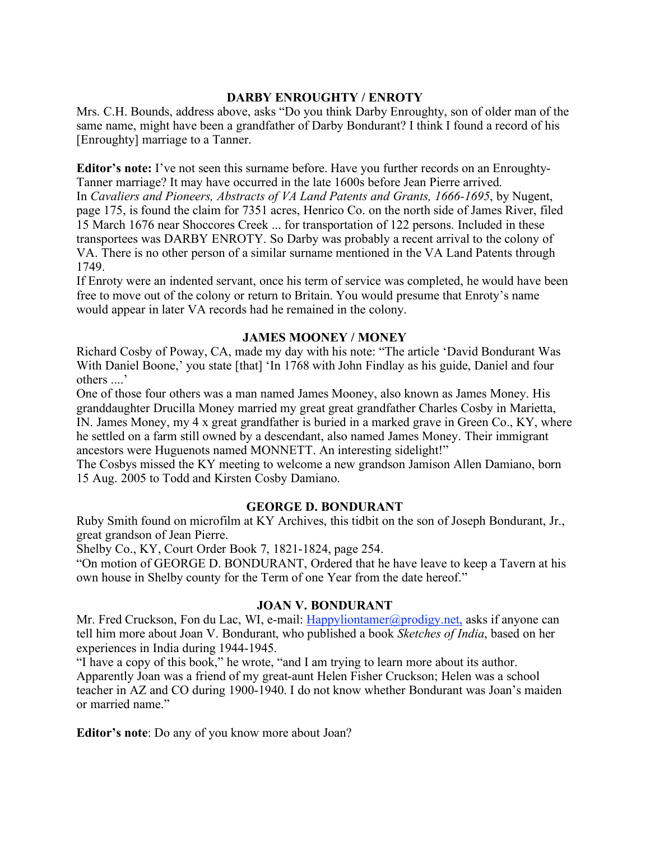### **DARBY ENROUGHTY / ENROTY**

Mrs. C.H. Bounds, address above, asks "Do you think Darby Enroughty, son of older man of the same name, might have been a grandfather of Darby Bondurant? I think I found a record of his [Enroughty] marriage to a Tanner.

**Editor's note:** I've not seen this surname before. Have you further records on an Enroughty-Tanner marriage? It may have occurred in the late 1600s before Jean Pierre arrived. In *Cavaliers and Pioneers, Abstracts of VA Land Patents and Grants, 1666-1695*, by Nugent, page 175, is found the claim for 7351 acres, Henrico Co. on the north side of James River, filed 15 March 1676 near Shoccores Creek ... for transportation of 122 persons. Included in these transportees was DARBY ENROTY. So Darby was probably a recent arrival to the colony of VA. There is no other person of a similar surname mentioned in the VA Land Patents through 1749.

If Enroty were an indented servant, once his term of service was completed, he would have been free to move out of the colony or return to Britain. You would presume that Enroty's name would appear in later VA records had he remained in the colony.

#### **JAMES MOONEY / MONEY**

Richard Cosby of Poway, CA, made my day with his note: "The article 'David Bondurant Was With Daniel Boone,' you state [that] 'In 1768 with John Findlay as his guide, Daniel and four others ....'

One of those four others was a man named James Mooney, also known as James Money. His granddaughter Drucilla Money married my great great grandfather Charles Cosby in Marietta, IN. James Money, my 4 x great grandfather is buried in a marked grave in Green Co., KY, where he settled on a farm still owned by a descendant, also named James Money. Their immigrant ancestors were Huguenots named MONNETT. An interesting sidelight!"

The Cosbys missed the KY meeting to welcome a new grandson Jamison Allen Damiano, born 15 Aug. 2005 to Todd and Kirsten Cosby Damiano.

#### **GEORGE D. BONDURANT**

Ruby Smith found on microfilm at KY Archives, this tidbit on the son of Joseph Bondurant, Jr., great grandson of Jean Pierre.

Shelby Co., KY, Court Order Book 7, 1821-1824, page 254.

"On motion of GEORGE D. BONDURANT, Ordered that he have leave to keep a Tavern at his own house in Shelby county for the Term of one Year from the date hereof."

#### **JOAN V. BONDURANT**

Mr. Fred Cruckson, Fon du Lac, WI, e-mail: Happyliontamer@prodigy.net, asks if anyone can tell him more about Joan V. Bondurant, who published a book *Sketches of India*, based on her experiences in India during 1944-1945.

"I have a copy of this book," he wrote, "and I am trying to learn more about its author. Apparently Joan was a friend of my great-aunt Helen Fisher Cruckson; Helen was a school teacher in AZ and CO during 1900-1940. I do not know whether Bondurant was Joan's maiden or married name."

**Editor's note**: Do any of you know more about Joan?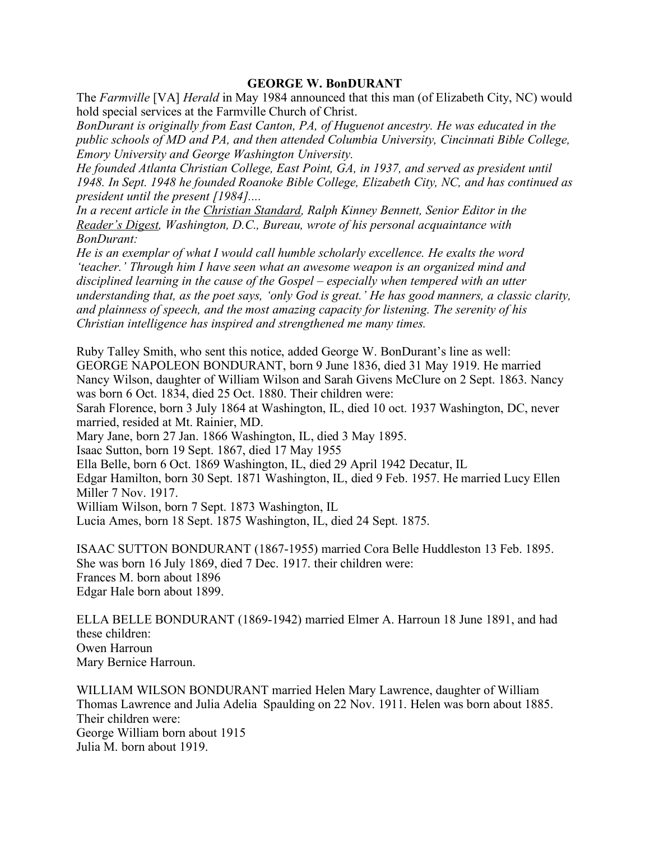#### **GEORGE W. BonDURANT**

The *Farmville* [VA] *Herald* in May 1984 announced that this man (of Elizabeth City, NC) would hold special services at the Farmville Church of Christ.

*BonDurant is originally from East Canton, PA, of Huguenot ancestry. He was educated in the public schools of MD and PA, and then attended Columbia University, Cincinnati Bible College, Emory University and George Washington University.*

*He founded Atlanta Christian College, East Point, GA, in 1937, and served as president until 1948. In Sept. 1948 he founded Roanoke Bible College, Elizabeth City, NC, and has continued as president until the present [1984]....*

*In a recent article in the Christian Standard, Ralph Kinney Bennett, Senior Editor in the Reader's Digest, Washington, D.C., Bureau, wrote of his personal acquaintance with BonDurant:*

*He is an exemplar of what I would call humble scholarly excellence. He exalts the word 'teacher.' Through him I have seen what an awesome weapon is an organized mind and disciplined learning in the cause of the Gospel – especially when tempered with an utter understanding that, as the poet says, 'only God is great.' He has good manners, a classic clarity, and plainness of speech, and the most amazing capacity for listening. The serenity of his Christian intelligence has inspired and strengthened me many times.*

Ruby Talley Smith, who sent this notice, added George W. BonDurant's line as well: GEORGE NAPOLEON BONDURANT, born 9 June 1836, died 31 May 1919. He married Nancy Wilson, daughter of William Wilson and Sarah Givens McClure on 2 Sept. 1863. Nancy was born 6 Oct. 1834, died 25 Oct. 1880. Their children were:

Sarah Florence, born 3 July 1864 at Washington, IL, died 10 oct. 1937 Washington, DC, never married, resided at Mt. Rainier, MD.

Mary Jane, born 27 Jan. 1866 Washington, IL, died 3 May 1895.

Isaac Sutton, born 19 Sept. 1867, died 17 May 1955

Ella Belle, born 6 Oct. 1869 Washington, IL, died 29 April 1942 Decatur, IL

Edgar Hamilton, born 30 Sept. 1871 Washington, IL, died 9 Feb. 1957. He married Lucy Ellen Miller 7 Nov. 1917.

William Wilson, born 7 Sept. 1873 Washington, IL

Lucia Ames, born 18 Sept. 1875 Washington, IL, died 24 Sept. 1875.

ISAAC SUTTON BONDURANT (1867-1955) married Cora Belle Huddleston 13 Feb. 1895. She was born 16 July 1869, died 7 Dec. 1917. their children were: Frances M. born about 1896 Edgar Hale born about 1899.

ELLA BELLE BONDURANT (1869-1942) married Elmer A. Harroun 18 June 1891, and had these children: Owen Harroun Mary Bernice Harroun.

WILLIAM WILSON BONDURANT married Helen Mary Lawrence, daughter of William Thomas Lawrence and Julia Adelia Spaulding on 22 Nov. 1911. Helen was born about 1885. Their children were: George William born about 1915 Julia M. born about 1919.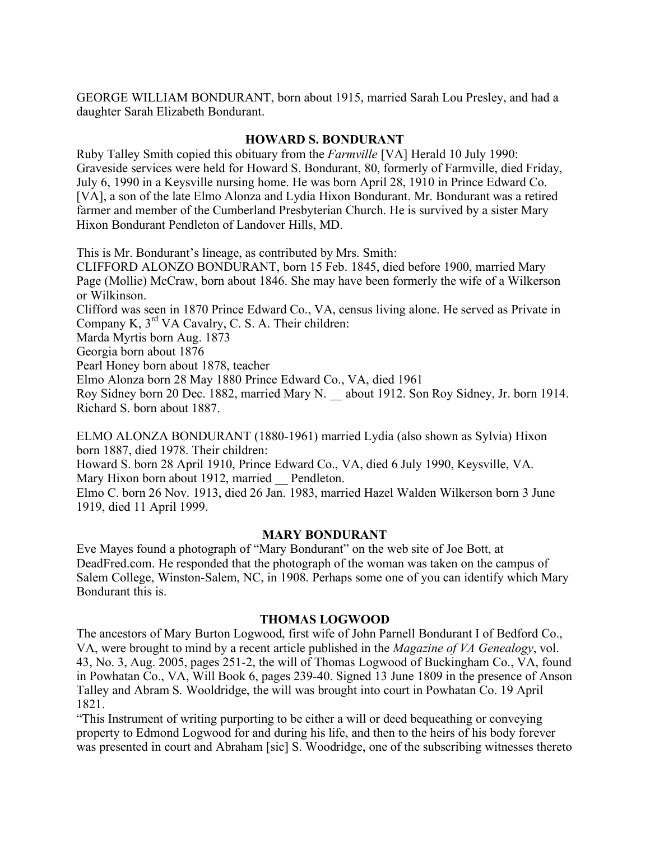GEORGE WILLIAM BONDURANT, born about 1915, married Sarah Lou Presley, and had a daughter Sarah Elizabeth Bondurant.

### **HOWARD S. BONDURANT**

Ruby Talley Smith copied this obituary from the *Farmville* [VA] Herald 10 July 1990: Graveside services were held for Howard S. Bondurant, 80, formerly of Farmville, died Friday, July 6, 1990 in a Keysville nursing home. He was born April 28, 1910 in Prince Edward Co. [VA], a son of the late Elmo Alonza and Lydia Hixon Bondurant. Mr. Bondurant was a retired farmer and member of the Cumberland Presbyterian Church. He is survived by a sister Mary Hixon Bondurant Pendleton of Landover Hills, MD.

This is Mr. Bondurant's lineage, as contributed by Mrs. Smith:

CLIFFORD ALONZO BONDURANT, born 15 Feb. 1845, died before 1900, married Mary Page (Mollie) McCraw, born about 1846. She may have been formerly the wife of a Wilkerson or Wilkinson.

Clifford was seen in 1870 Prince Edward Co., VA, census living alone. He served as Private in Company K, 3rd VA Cavalry, C. S. A. Their children:

Marda Myrtis born Aug. 1873

Georgia born about 1876

Pearl Honey born about 1878, teacher

Elmo Alonza born 28 May 1880 Prince Edward Co., VA, died 1961

Roy Sidney born 20 Dec. 1882, married Mary N. \_\_ about 1912. Son Roy Sidney, Jr. born 1914. Richard S. born about 1887.

ELMO ALONZA BONDURANT (1880-1961) married Lydia (also shown as Sylvia) Hixon born 1887, died 1978. Their children:

Howard S. born 28 April 1910, Prince Edward Co., VA, died 6 July 1990, Keysville, VA. Mary Hixon born about 1912, married Pendleton.

Elmo C. born 26 Nov. 1913, died 26 Jan. 1983, married Hazel Walden Wilkerson born 3 June 1919, died 11 April 1999.

#### **MARY BONDURANT**

Eve Mayes found a photograph of "Mary Bondurant" on the web site of Joe Bott, at DeadFred.com. He responded that the photograph of the woman was taken on the campus of Salem College, Winston-Salem, NC, in 1908. Perhaps some one of you can identify which Mary Bondurant this is.

#### **THOMAS LOGWOOD**

The ancestors of Mary Burton Logwood, first wife of John Parnell Bondurant I of Bedford Co., VA, were brought to mind by a recent article published in the *Magazine of VA Genealogy*, vol. 43, No. 3, Aug. 2005, pages 251-2, the will of Thomas Logwood of Buckingham Co., VA, found in Powhatan Co., VA, Will Book 6, pages 239-40. Signed 13 June 1809 in the presence of Anson Talley and Abram S. Wooldridge, the will was brought into court in Powhatan Co. 19 April 1821.

"This Instrument of writing purporting to be either a will or deed bequeathing or conveying property to Edmond Logwood for and during his life, and then to the heirs of his body forever was presented in court and Abraham [sic] S. Woodridge, one of the subscribing witnesses thereto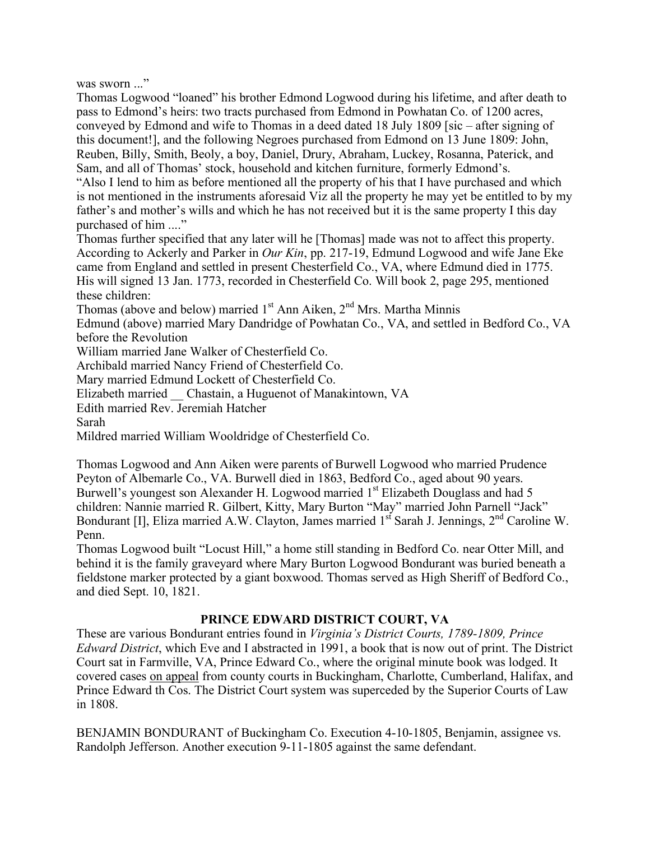was sworn ..."

Thomas Logwood "loaned" his brother Edmond Logwood during his lifetime, and after death to pass to Edmond's heirs: two tracts purchased from Edmond in Powhatan Co. of 1200 acres, conveyed by Edmond and wife to Thomas in a deed dated 18 July 1809 [sic – after signing of this document!], and the following Negroes purchased from Edmond on 13 June 1809: John, Reuben, Billy, Smith, Beoly, a boy, Daniel, Drury, Abraham, Luckey, Rosanna, Paterick, and Sam, and all of Thomas' stock, household and kitchen furniture, formerly Edmond's.

"Also I lend to him as before mentioned all the property of his that I have purchased and which is not mentioned in the instruments aforesaid Viz all the property he may yet be entitled to by my father's and mother's wills and which he has not received but it is the same property I this day purchased of him ...."

Thomas further specified that any later will he [Thomas] made was not to affect this property. According to Ackerly and Parker in *Our Kin*, pp. 217-19, Edmund Logwood and wife Jane Eke came from England and settled in present Chesterfield Co., VA, where Edmund died in 1775. His will signed 13 Jan. 1773, recorded in Chesterfield Co. Will book 2, page 295, mentioned these children:

Thomas (above and below) married 1<sup>st</sup> Ann Aiken, 2<sup>nd</sup> Mrs. Martha Minnis

Edmund (above) married Mary Dandridge of Powhatan Co., VA, and settled in Bedford Co., VA before the Revolution

William married Jane Walker of Chesterfield Co.

Archibald married Nancy Friend of Chesterfield Co.

Mary married Edmund Lockett of Chesterfield Co.

Elizabeth married \_\_ Chastain, a Huguenot of Manakintown, VA

Edith married Rev. Jeremiah Hatcher

Sarah

Mildred married William Wooldridge of Chesterfield Co.

Thomas Logwood and Ann Aiken were parents of Burwell Logwood who married Prudence Peyton of Albemarle Co., VA. Burwell died in 1863, Bedford Co., aged about 90 years. Burwell's youngest son Alexander H. Logwood married 1<sup>st</sup> Elizabeth Douglass and had 5 children: Nannie married R. Gilbert, Kitty, Mary Burton "May" married John Parnell "Jack" Bondurant [I], Eliza married A.W. Clayton, James married 1<sup>st</sup> Sarah J. Jennings, 2<sup>nd</sup> Caroline W. Penn.

Thomas Logwood built "Locust Hill," a home still standing in Bedford Co. near Otter Mill, and behind it is the family graveyard where Mary Burton Logwood Bondurant was buried beneath a fieldstone marker protected by a giant boxwood. Thomas served as High Sheriff of Bedford Co., and died Sept. 10, 1821.

## **PRINCE EDWARD DISTRICT COURT, VA**

These are various Bondurant entries found in *Virginia's District Courts, 1789-1809, Prince Edward District*, which Eve and I abstracted in 1991, a book that is now out of print. The District Court sat in Farmville, VA, Prince Edward Co., where the original minute book was lodged. It covered cases on appeal from county courts in Buckingham, Charlotte, Cumberland, Halifax, and Prince Edward th Cos. The District Court system was superceded by the Superior Courts of Law in 1808.

BENJAMIN BONDURANT of Buckingham Co. Execution 4-10-1805, Benjamin, assignee vs. Randolph Jefferson. Another execution 9-11-1805 against the same defendant.